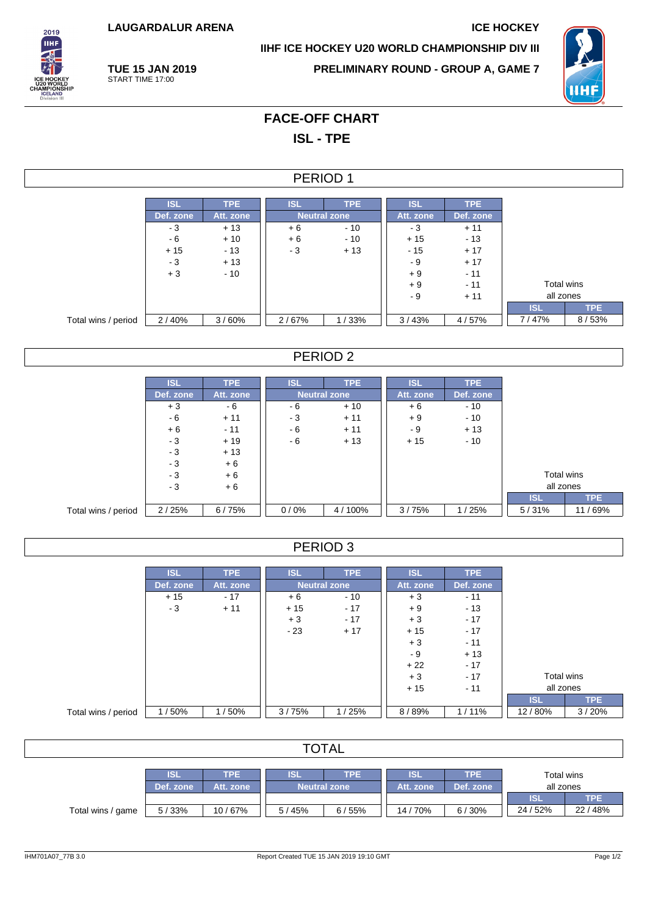**LAUGARDALUR ARENA ICE HOCKEY**

**TUE 15 JAN 2019** START TIME 17:00

2019 **THE** 

**IIHF ICE HOCKEY U20 WORLD CHAMPIONSHIP DIV III**

**PRELIMINARY ROUND - GROUP A, GAME 7**



# **FACE-OFF CHART ISL - TPE**

#### PERIOD 1

|                     | <b>ISL</b> | TPE.      | <b>ISL</b>          | TPE.  | <b>ISL</b> | <b>TPE</b> |            |       |
|---------------------|------------|-----------|---------------------|-------|------------|------------|------------|-------|
|                     | Def. zone  | Att. zone | <b>Neutral zone</b> |       | Att. zone  | Def. zone  |            |       |
|                     | - 3        | $+13$     | $+6$                | $-10$ | - 3        | $+11$      |            |       |
|                     | - 6        | $+10$     | $+6$                | $-10$ | $+15$      | $-13$      |            |       |
|                     | $+15$      | $-13$     | - 3                 | $+13$ | $-15$      | $+17$      |            |       |
|                     | - 3        | $+13$     |                     |       | - 9        | $+17$      |            |       |
|                     | $+3$       | $-10$     |                     |       | $+9$       | $-11$      |            |       |
|                     |            |           |                     |       | $+9$       | $-11$      | Total wins |       |
|                     |            |           |                     |       | - 9        | $+11$      | all zones  |       |
|                     |            |           |                     |       |            |            | <b>ISL</b> | TPE   |
| Total wins / period | 2/40%      | 3/60%     | 2/67%               | 1/33% | 3/43%      | 4/57%      | 7/47%      | 8/53% |

## PERIOD 2

|                     | ISL       | <b>TPE</b> | ISL  | <b>TPE</b>          | <b>ISL</b> | <b>TPE</b> |            |            |
|---------------------|-----------|------------|------|---------------------|------------|------------|------------|------------|
|                     | Def. zone | Att. zone  |      | <b>Neutral zone</b> | Att. zone  | Def. zone  |            |            |
|                     | $+3$      | - 6        | - 6  | $+10$               |            | $-10$      |            |            |
|                     | - 6       | $+11$      | - 3  | $+11$               | $+9$       | $-10$      |            |            |
|                     | $+6$      | $-11$      | - 6  | $+11$               | - 9        | $+13$      |            |            |
|                     | - 3       | $+19$      | - 6  | $+13$               | $+15$      | $-10$      |            |            |
|                     | $-3$      | $+13$      |      |                     |            |            |            |            |
|                     | $-3$      | $+6$       |      |                     |            |            |            |            |
|                     | $-3$      | $+6$       |      |                     |            |            | Total wins |            |
|                     | - 3       | $+6$       |      |                     |            |            | all zones  |            |
|                     |           |            |      |                     |            |            | <b>ISL</b> | <b>TPE</b> |
| Total wins / period | 2/25%     | 6/75%      | 0/0% | 4/100%              | 3/75%      | 1/25%      | 5/31%      | 11/69%     |

## PERIOD 3

|                     | <b>ISL</b> | <b>TPE</b> | <b>ISL</b>          | <b>TPE</b> | <b>ISL</b> | <b>TPE</b> |            |       |
|---------------------|------------|------------|---------------------|------------|------------|------------|------------|-------|
|                     | Def. zone  | Att. zone  | <b>Neutral zone</b> |            | Att. zone  | Def. zone  |            |       |
|                     | $+15$      | $-17$      | $+6$                | $-10$      | $+3$       | $-11$      |            |       |
|                     | $-3$       | $+11$      | $+15$               | $-17$      | $+9$       | $-13$      |            |       |
|                     |            |            | $+3$                | $-17$      | $+3$       | $-17$      |            |       |
|                     |            |            | $-23$               | $+17$      | $+15$      | $-17$      |            |       |
|                     |            |            |                     |            | $+3$       | $-11$      |            |       |
|                     |            |            |                     |            | - 9        | $+13$      |            |       |
|                     |            |            |                     |            | $+22$      | $-17$      |            |       |
|                     |            |            |                     |            | $+3$       | $-17$      | Total wins |       |
|                     |            |            |                     |            | $+15$      | $-11$      | all zones  |       |
|                     |            |            |                     |            |            |            | <b>ISL</b> | TPE   |
| Total wins / period | 1/50%      | 1/50%      | 3/75%               | 1/25%      | 8/89%      | $1/11\%$   | 12/80%     | 3/20% |

| <b>TOTAL</b>      |                         |                         |                         |                                              |        |       |            |            |  |
|-------------------|-------------------------|-------------------------|-------------------------|----------------------------------------------|--------|-------|------------|------------|--|
|                   | <b>ISL</b><br>Def. zone | <b>TPE</b><br>Att. zone | <b>ISL</b><br>Att. zone | TPE.<br>Total wins<br>all zones<br>Def. zone |        |       |            |            |  |
|                   |                         |                         |                         |                                              |        |       | <b>ISL</b> | <b>TPE</b> |  |
| Total wins / game | 5/33%                   | 10/67%                  | 5/45%                   | 6/55%                                        | 14/70% | 6/30% | 24 / 52%   | 22 / 48%   |  |